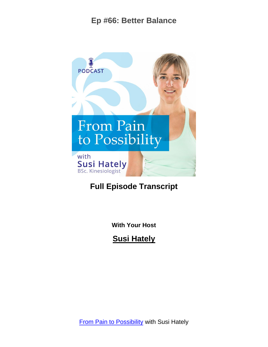

# **Full Episode Transcript**

**With Your Host**

**Susi Hately**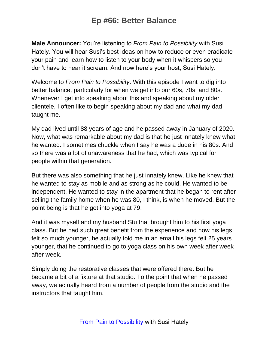**Male Announcer:** You're listening to *From Pain to Possibility* with Susi Hately. You will hear Susi's best ideas on how to reduce or even eradicate your pain and learn how to listen to your body when it whispers so you don't have to hear it scream. And now here's your host, Susi Hately.

Welcome to *From Pain to Possibility*. With this episode I want to dig into better balance, particularly for when we get into our 60s, 70s, and 80s. Whenever I get into speaking about this and speaking about my older clientele, I often like to begin speaking about my dad and what my dad taught me.

My dad lived until 88 years of age and he passed away in January of 2020. Now, what was remarkable about my dad is that he just innately knew what he wanted. I sometimes chuckle when I say he was a dude in his 80s. And so there was a lot of unawareness that he had, which was typical for people within that generation.

But there was also something that he just innately knew. Like he knew that he wanted to stay as mobile and as strong as he could. He wanted to be independent. He wanted to stay in the apartment that he began to rent after selling the family home when he was 80, I think, is when he moved. But the point being is that he got into yoga at 79.

And it was myself and my husband Stu that brought him to his first yoga class. But he had such great benefit from the experience and how his legs felt so much younger, he actually told me in an email his legs felt 25 years younger, that he continued to go to yoga class on his own week after week after week.

Simply doing the restorative classes that were offered there. But he became a bit of a fixture at that studio. To the point that when he passed away, we actually heard from a number of people from the studio and the instructors that taught him.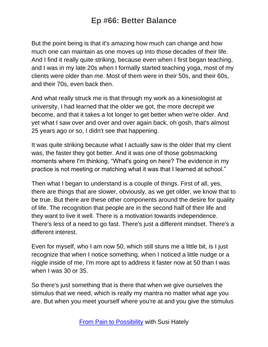But the point being is that it's amazing how much can change and how much one can maintain as one moves up into those decades of their life. And I find it really quite striking, because even when I first began teaching, and I was in my late 20s when I formally started teaching yoga, most of my clients were older than me. Most of them were in their 50s, and their 60s, and their 70s, even back then.

And what really struck me is that through my work as a kinesiologist at university, I had learned that the older we got, the more decrepit we become, and that it takes a lot longer to get better when we're older. And yet what I saw over and over and over again back, oh gosh, that's almost 25 years ago or so, I didn't see that happening.

It was quite striking because what I actually saw is the older that my client was, the faster they got better. And it was one of those gobsmacking moments where I'm thinking, "What's going on here? The evidence in my practice is not meeting or matching what it was that I learned at school."

Then what I began to understand is a couple of things. First of all, yes, there are things that are slower, obviously, as we get older, we know that to be true. But there are these other components around the desire for quality of life. The recognition that people are in the second half of their life and they want to live it well. There is a motivation towards independence. There's less of a need to go fast. There's just a different mindset. There's a different interest.

Even for myself, who I am now 50, which still stuns me a little bit, is I just recognize that when I notice something, when I noticed a little nudge or a niggle inside of me, I'm more apt to address it faster now at 50 than I was when I was 30 or 35.

So there's just something that is there that when we give ourselves the stimulus that we need, which is really my mantra no matter what age you are. But when you meet yourself where you're at and you give the stimulus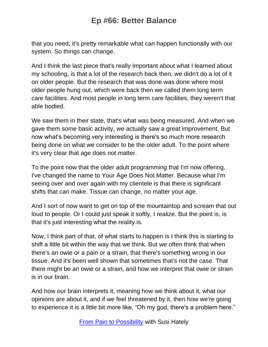that you need, it's pretty remarkable what can happen functionally with our system. So things can change.

And I think the last piece that's really important about what I learned about my schooling, is that a lot of the research back then, we didn't do a lot of it on older people. But the research that was done was done where most older people hung out, which were back then we called them long term care facilities. And most people in long term care facilities, they weren't that able bodied.

We saw them in their state, that's what was being measured. And when we gave them some basic activity, we actually saw a great improvement. But now what's becoming very interesting is there's so much more research being done on what we consider to be the older adult. To the point where it's very clear that age does not matter.

To the point now that the older adult programming that I'm now offering, I've changed the name to Your Age Does Not Matter. Because what I'm seeing over and over again with my clientele is that there is significant shifts that can make. Tissue can change, no matter your age.

And I sort of now want to get on top of the mountaintop and scream that out loud to people. Or I could just speak it softly, I realize. But the point is, is that it's just interesting what the reality is.

Now, I think part of that, of what starts to happen is I think this is starting to shift a little bit within the way that we think. But we often think that when there's an owie or a pain or a strain, that there's something wrong in our tissue. And it's been well shown that sometimes that's not the case. That there might be an owie or a strain, and how we interpret that owie or strain is in our brain.

And how our brain interprets it, meaning how we think about it, what our opinions are about it, and if we feel threatened by it, then how we're going to experience it is a little bit more like, "Oh my god, there's a problem here."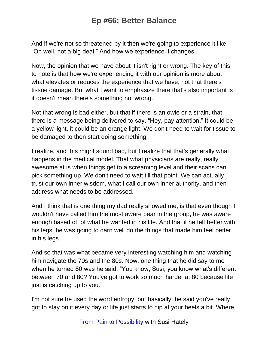And if we're not so threatened by it then we're going to experience it like, "Oh well, not a big deal." And how we experience it changes.

Now, the opinion that we have about it isn't right or wrong. The key of this to note is that how we're experiencing it with our opinion is more about what elevates or reduces the experience that we have, not that there's tissue damage. But what I want to emphasize there that's also important is it doesn't mean there's something not wrong.

Not that wrong is bad either, but that if there is an owie or a strain, that there is a message being delivered to say, "Hey, pay attention." It could be a yellow light, it could be an orange light. We don't need to wait for tissue to be damaged to then start doing something.

I realize, and this might sound bad, but I realize that that's generally what happens in the medical model. That what physicians are really, really awesome at is when things get to a screaming level and their scans can pick something up. We don't need to wait till that point. We can actually trust our own inner wisdom, what I call our own inner authority, and then address what needs to be addressed.

And I think that is one thing my dad really showed me, is that even though I wouldn't have called him the most aware bear in the group, he was aware enough based off of what he wanted in his life. And that if he felt better with his legs, he was going to darn well do the things that made him feel better in his legs.

And so that was what became very interesting watching him and watching him navigate the 70s and the 80s. Now, one thing that he did say to me when he turned 80 was he said, "You know, Susi, you know what's different between 70 and 80? You've got to work so much harder at 80 because life just is catching up to you."

I'm not sure he used the word entropy, but basically, he said you've really got to stay on it every day or life just starts to nip at your heels a bit. Where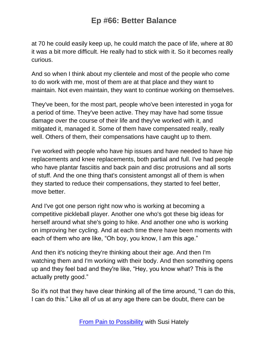at 70 he could easily keep up, he could match the pace of life, where at 80 it was a bit more difficult. He really had to stick with it. So it becomes really curious.

And so when I think about my clientele and most of the people who come to do work with me, most of them are at that place and they want to maintain. Not even maintain, they want to continue working on themselves.

They've been, for the most part, people who've been interested in yoga for a period of time. They've been active. They may have had some tissue damage over the course of their life and they've worked with it, and mitigated it, managed it. Some of them have compensated really, really well. Others of them, their compensations have caught up to them.

I've worked with people who have hip issues and have needed to have hip replacements and knee replacements, both partial and full. I've had people who have plantar fasciitis and back pain and disc protrusions and all sorts of stuff. And the one thing that's consistent amongst all of them is when they started to reduce their compensations, they started to feel better, move better.

And I've got one person right now who is working at becoming a competitive pickleball player. Another one who's got these big ideas for herself around what she's going to hike. And another one who is working on improving her cycling. And at each time there have been moments with each of them who are like, "Oh boy, you know, I am this age."

And then it's noticing they're thinking about their age. And then I'm watching them and I'm working with their body. And then something opens up and they feel bad and they're like, "Hey, you know what? This is the actually pretty good."

So it's not that they have clear thinking all of the time around, "I can do this, I can do this." Like all of us at any age there can be doubt, there can be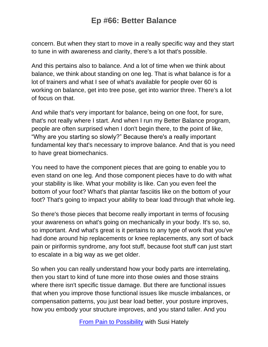concern. But when they start to move in a really specific way and they start to tune in with awareness and clarity, there's a lot that's possible.

And this pertains also to balance. And a lot of time when we think about balance, we think about standing on one leg. That is what balance is for a lot of trainers and what I see of what's available for people over 60 is working on balance, get into tree pose, get into warrior three. There's a lot of focus on that.

And while that's very important for balance, being on one foot, for sure, that's not really where I start. And when I run my Better Balance program, people are often surprised when I don't begin there, to the point of like, "Why are you starting so slowly?" Because there's a really important fundamental key that's necessary to improve balance. And that is you need to have great biomechanics.

You need to have the component pieces that are going to enable you to even stand on one leg. And those component pieces have to do with what your stability is like. What your mobility is like. Can you even feel the bottom of your foot? What's that plantar fasciitis like on the bottom of your foot? That's going to impact your ability to bear load through that whole leg.

So there's those pieces that become really important in terms of focusing your awareness on what's going on mechanically in your body. It's so, so, so important. And what's great is it pertains to any type of work that you've had done around hip replacements or knee replacements, any sort of back pain or piriformis syndrome, any foot stuff, because foot stuff can just start to escalate in a big way as we get older.

So when you can really understand how your body parts are interrelating, then you start to kind of tune more into those owies and those strains where there isn't specific tissue damage. But there are functional issues that when you improve those functional issues like muscle imbalances, or compensation patterns, you just bear load better, your posture improves, how you embody your structure improves, and you stand taller. And you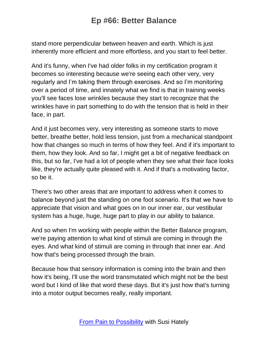stand more perpendicular between heaven and earth. Which is just inherently more efficient and more effortless, and you start to feel better.

And it's funny, when I've had older folks in my certification program it becomes so interesting because we're seeing each other very, very regularly and I'm taking them through exercises. And so I'm monitoring over a period of time, and innately what we find is that in training weeks you'll see faces lose wrinkles because they start to recognize that the wrinkles have in part something to do with the tension that is held in their face, in part.

And it just becomes very, very interesting as someone starts to move better, breathe better, hold less tension, just from a mechanical standpoint how that changes so much in terms of how they feel. And if it's important to them, how they look. And so far, I might get a bit of negative feedback on this, but so far, I've had a lot of people when they see what their face looks like, they're actually quite pleased with it. And if that's a motivating factor, so be it.

There's two other areas that are important to address when it comes to balance beyond just the standing on one foot scenario. It's that we have to appreciate that vision and what goes on in our inner ear, our vestibular system has a huge, huge, huge part to play in our ability to balance.

And so when I'm working with people within the Better Balance program, we're paying attention to what kind of stimuli are coming in through the eyes. And what kind of stimuli are coming in through that inner ear. And how that's being processed through the brain.

Because how that sensory information is coming into the brain and then how it's being, I'll use the word transmutated which might not be the best word but I kind of like that word these days. But it's just how that's turning into a motor output becomes really, really important.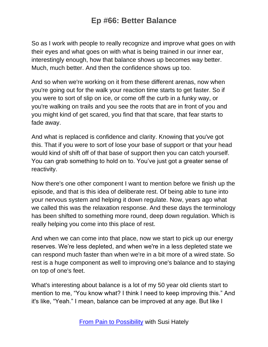So as I work with people to really recognize and improve what goes on with their eyes and what goes on with what is being trained in our inner ear, interestingly enough, how that balance shows up becomes way better. Much, much better. And then the confidence shows up too.

And so when we're working on it from these different arenas, now when you're going out for the walk your reaction time starts to get faster. So if you were to sort of slip on ice, or come off the curb in a funky way, or you're walking on trails and you see the roots that are in front of you and you might kind of get scared, you find that that scare, that fear starts to fade away.

And what is replaced is confidence and clarity. Knowing that you've got this. That if you were to sort of lose your base of support or that your head would kind of shift off of that base of support then you can catch yourself. You can grab something to hold on to. You've just got a greater sense of reactivity.

Now there's one other component I want to mention before we finish up the episode, and that is this idea of deliberate rest. Of being able to tune into your nervous system and helping it down regulate. Now, years ago what we called this was the relaxation response. And these days the terminology has been shifted to something more round, deep down regulation. Which is really helping you come into this place of rest.

And when we can come into that place, now we start to pick up our energy reserves. We're less depleted, and when we're in a less depleted state we can respond much faster than when we're in a bit more of a wired state. So rest is a huge component as well to improving one's balance and to staying on top of one's feet.

What's interesting about balance is a lot of my 50 year old clients start to mention to me, "You know what? I think I need to keep improving this." And it's like, "Yeah." I mean, balance can be improved at any age. But like I